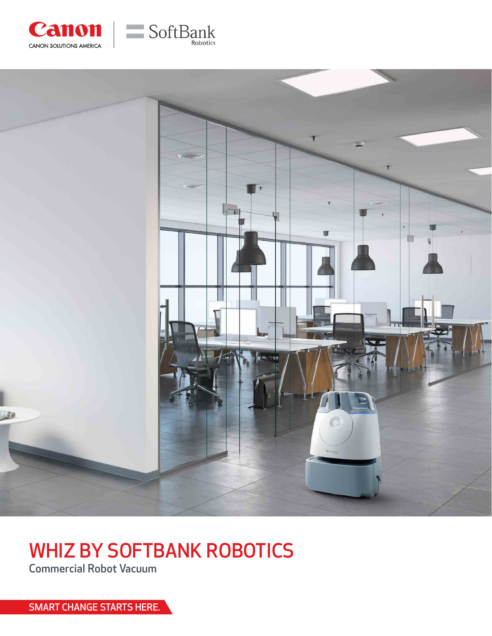





# WHIZ BY SOFTBANK ROBOTICS

Commercial Robot Vacuum

SMART CHANGE STARTS HERE.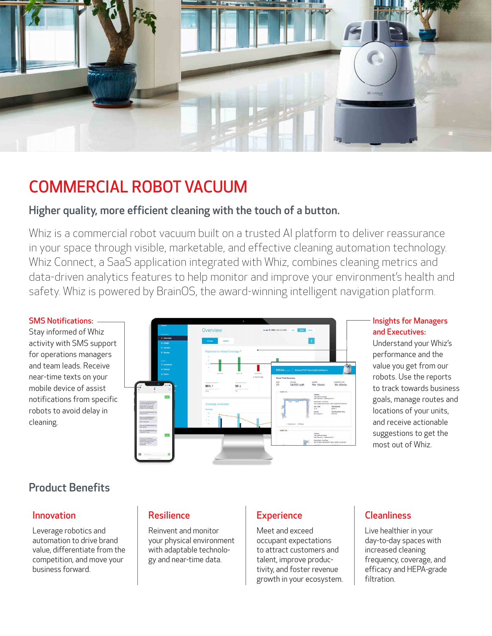

# COMMERCIAL ROBOT VACUUM

### Higher quality, more efficient cleaning with the touch of a button.

Whiz is a commercial robot vacuum built on a trusted AI platform to deliver reassurance in your space through visible, marketable, and effective cleaning automation technology. Whiz Connect, a SaaS application integrated with Whiz, combines cleaning metrics and data-driven analytics features to help monitor and improve your environment's health and safety. Whiz is powered by BrainOS, the award-winning intelligent navigation platform.

### SMS Notifications:

Stay informed of Whiz activity with SMS support for operations managers and team leads. Receive near-time texts on your mobile device of assist notifications from specific robots to avoid delay in cleaning.



### Insights for Managers and Executives:

Understand your Whiz's performance and the value you get from our robots. Use the reports to track towards business goals, manage routes and locations of your units, and receive actionable suggestions to get the most out of Whiz.

### Product Benefits

Leverage robotics and automation to drive brand value, differentiate from the competition, and move your business forward.

Reinvent and monitor your physical environment with adaptable technology and near-time data.

Meet and exceed occupant expectations to attract customers and talent, improve productivity, and foster revenue growth in your ecosystem.

### Innovation Resilience Resilience Resilience Resilience Resilience Resilience Resilience

Live healthier in your day-to-day spaces with increased cleaning frequency, coverage, and efficacy and HEPA-grade filtration.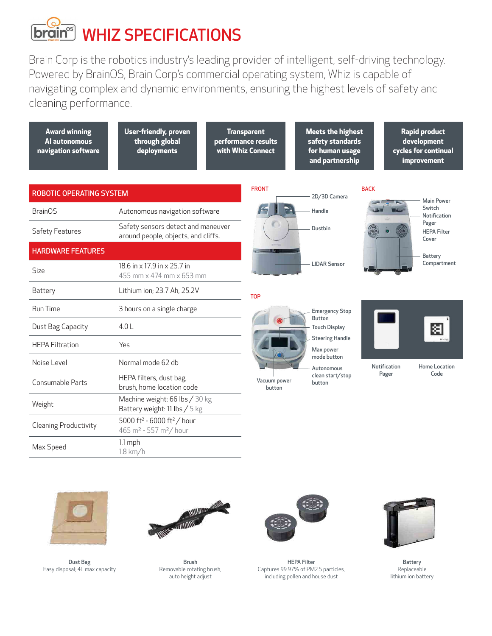# **<u>brain</u>** WHIZ SPECIFICATIONS

Brain Corp is the robotics industry's leading provider of intelligent, self-driving technology. Powered by BrainOS, Brain Corp's commercial operating system, Whiz is capable of navigating complex and dynamic environments, ensuring the highest levels of safety and cleaning performance.





Dust Bag Easy disposal; 4L max capacity



Brush Removable rotating brush, auto height adjust



HEPA Filter Captures 99.97% of PM2.5 particles, including pollen and house dust



Battery Replaceable lithium ion battery